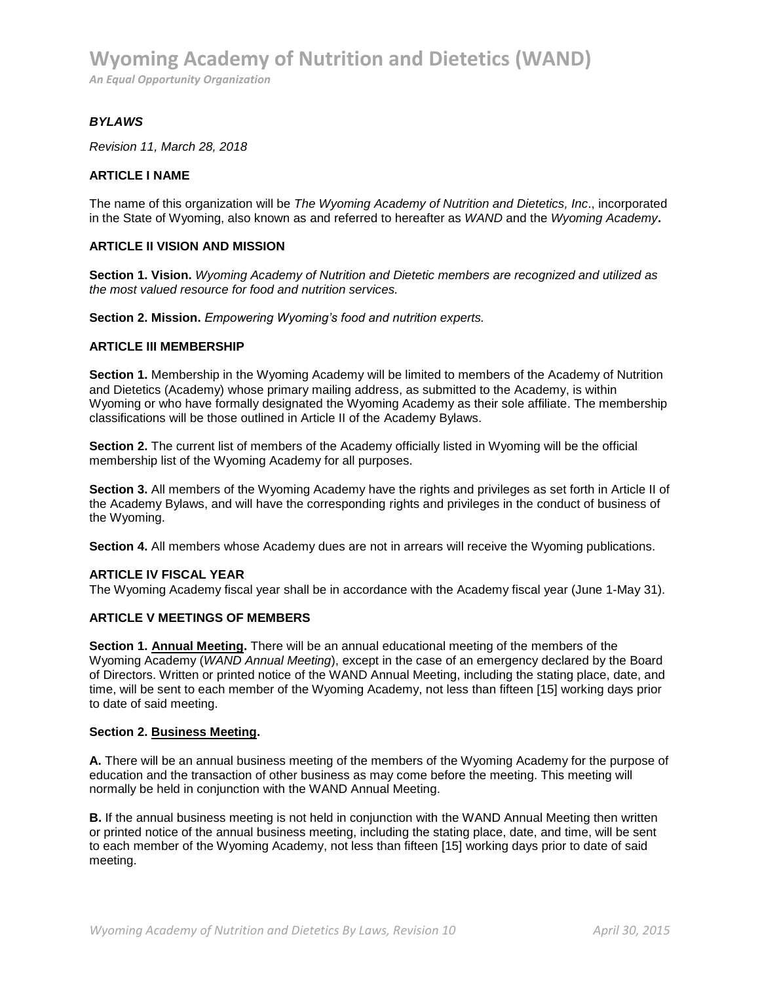#### *BYLAWS*

*Revision 11, March 28, 2018*

#### **ARTICLE I NAME**

The name of this organization will be *The Wyoming Academy of Nutrition and Dietetics, Inc*., incorporated in the State of Wyoming, also known as and referred to hereafter as *WAND* and the *Wyoming Academy***.**

#### **ARTICLE II VISION AND MISSION**

**Section 1. Vision.** *Wyoming Academy of Nutrition and Dietetic members are recognized and utilized as the most valued resource for food and nutrition services.* 

**Section 2. Mission.** *Empowering Wyoming's food and nutrition experts.*

#### **ARTICLE III MEMBERSHIP**

**Section 1.** Membership in the Wyoming Academy will be limited to members of the Academy of Nutrition and Dietetics (Academy) whose primary mailing address, as submitted to the Academy, is within Wyoming or who have formally designated the Wyoming Academy as their sole affiliate. The membership classifications will be those outlined in Article II of the Academy Bylaws.

**Section 2.** The current list of members of the Academy officially listed in Wyoming will be the official membership list of the Wyoming Academy for all purposes.

**Section 3.** All members of the Wyoming Academy have the rights and privileges as set forth in Article II of the Academy Bylaws, and will have the corresponding rights and privileges in the conduct of business of the Wyoming.

**Section 4.** All members whose Academy dues are not in arrears will receive the Wyoming publications.

#### **ARTICLE IV FISCAL YEAR**

The Wyoming Academy fiscal year shall be in accordance with the Academy fiscal year (June 1-May 31).

## **ARTICLE V MEETINGS OF MEMBERS**

**Section 1. Annual Meeting.** There will be an annual educational meeting of the members of the Wyoming Academy (*WAND Annual Meeting*), except in the case of an emergency declared by the Board of Directors. Written or printed notice of the WAND Annual Meeting, including the stating place, date, and time, will be sent to each member of the Wyoming Academy, not less than fifteen [15] working days prior to date of said meeting.

#### **Section 2. Business Meeting.**

**A.** There will be an annual business meeting of the members of the Wyoming Academy for the purpose of education and the transaction of other business as may come before the meeting. This meeting will normally be held in conjunction with the WAND Annual Meeting.

**B.** If the annual business meeting is not held in conjunction with the WAND Annual Meeting then written or printed notice of the annual business meeting, including the stating place, date, and time, will be sent to each member of the Wyoming Academy, not less than fifteen [15] working days prior to date of said meeting.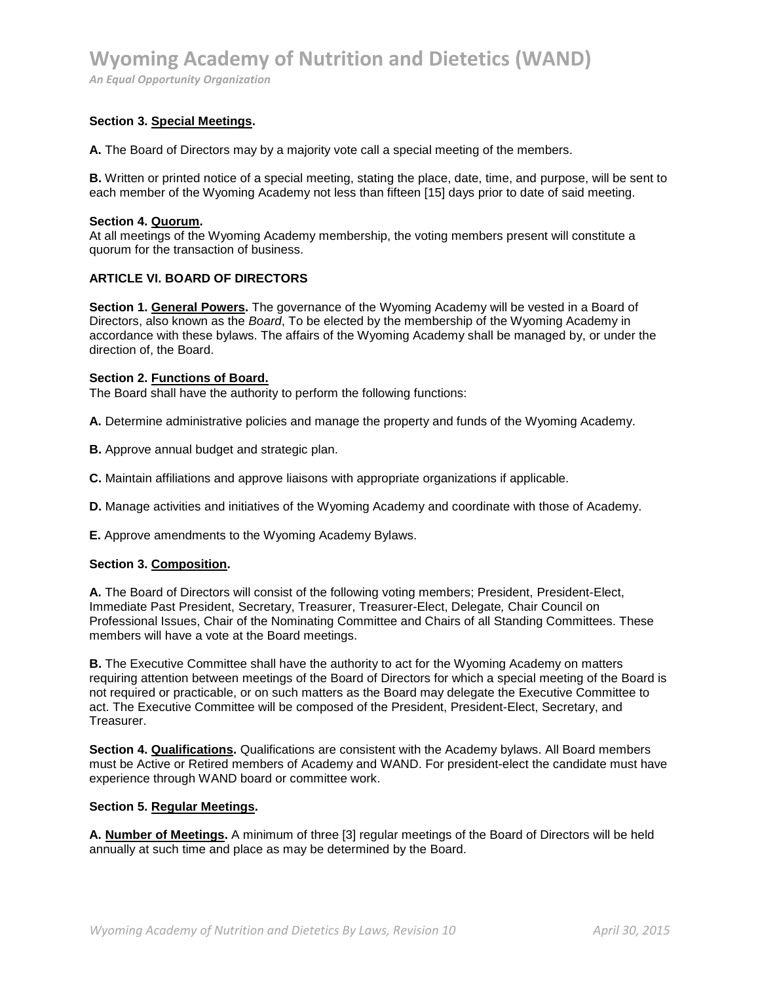# **Wyoming Academy of Nutrition and Dietetics (WAND)**

*An Equal Opportunity Organization* 

#### **Section 3. Special Meetings.**

**A.** The Board of Directors may by a majority vote call a special meeting of the members.

**B.** Written or printed notice of a special meeting, stating the place, date, time, and purpose, will be sent to each member of the Wyoming Academy not less than fifteen [15] days prior to date of said meeting.

#### **Section 4. Quorum.**

At all meetings of the Wyoming Academy membership, the voting members present will constitute a quorum for the transaction of business.

#### **ARTICLE VI. BOARD OF DIRECTORS**

**Section 1. General Powers.** The governance of the Wyoming Academy will be vested in a Board of Directors, also known as the *Board*, To be elected by the membership of the Wyoming Academy in accordance with these bylaws. The affairs of the Wyoming Academy shall be managed by, or under the direction of, the Board.

#### **Section 2. Functions of Board.**

The Board shall have the authority to perform the following functions:

**A.** Determine administrative policies and manage the property and funds of the Wyoming Academy.

**B.** Approve annual budget and strategic plan.

**C.** Maintain affiliations and approve liaisons with appropriate organizations if applicable.

**D.** Manage activities and initiatives of the Wyoming Academy and coordinate with those of Academy.

**E.** Approve amendments to the Wyoming Academy Bylaws.

#### **Section 3. Composition.**

**A.** The Board of Directors will consist of the following voting members; President, President-Elect, Immediate Past President, Secretary, Treasurer, Treasurer-Elect, Delegate*,* Chair Council on Professional Issues, Chair of the Nominating Committee and Chairs of all Standing Committees. These members will have a vote at the Board meetings.

**B.** The Executive Committee shall have the authority to act for the Wyoming Academy on matters requiring attention between meetings of the Board of Directors for which a special meeting of the Board is not required or practicable, or on such matters as the Board may delegate the Executive Committee to act. The Executive Committee will be composed of the President, President-Elect, Secretary, and Treasurer.

**Section 4. Qualifications.** Qualifications are consistent with the Academy bylaws. All Board members must be Active or Retired members of Academy and WAND. For president-elect the candidate must have experience through WAND board or committee work.

#### **Section 5. Regular Meetings.**

**A. Number of Meetings.** A minimum of three [3] regular meetings of the Board of Directors will be held annually at such time and place as may be determined by the Board.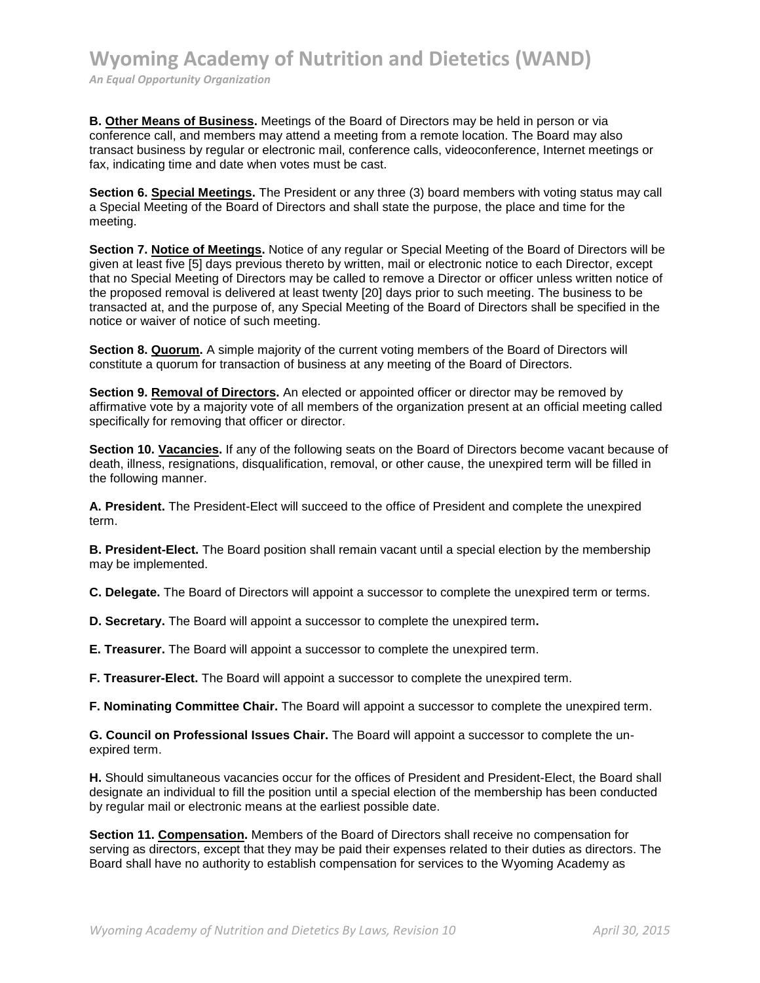**B. Other Means of Business.** Meetings of the Board of Directors may be held in person or via conference call, and members may attend a meeting from a remote location. The Board may also transact business by regular or electronic mail, conference calls, videoconference, Internet meetings or fax, indicating time and date when votes must be cast.

**Section 6. Special Meetings.** The President or any three (3) board members with voting status may call a Special Meeting of the Board of Directors and shall state the purpose, the place and time for the meeting.

**Section 7. Notice of Meetings.** Notice of any regular or Special Meeting of the Board of Directors will be given at least five [5] days previous thereto by written, mail or electronic notice to each Director, except that no Special Meeting of Directors may be called to remove a Director or officer unless written notice of the proposed removal is delivered at least twenty [20] days prior to such meeting. The business to be transacted at, and the purpose of, any Special Meeting of the Board of Directors shall be specified in the notice or waiver of notice of such meeting.

**Section 8. Quorum.** A simple majority of the current voting members of the Board of Directors will constitute a quorum for transaction of business at any meeting of the Board of Directors.

**Section 9. Removal of Directors.** An elected or appointed officer or director may be removed by affirmative vote by a majority vote of all members of the organization present at an official meeting called specifically for removing that officer or director.

Section 10. Vacancies. If any of the following seats on the Board of Directors become vacant because of death, illness, resignations, disqualification, removal, or other cause, the unexpired term will be filled in the following manner.

**A. President.** The President-Elect will succeed to the office of President and complete the unexpired term.

**B. President-Elect.** The Board position shall remain vacant until a special election by the membership may be implemented.

**C. Delegate.** The Board of Directors will appoint a successor to complete the unexpired term or terms.

**D. Secretary.** The Board will appoint a successor to complete the unexpired term**.** 

**E. Treasurer.** The Board will appoint a successor to complete the unexpired term.

**F. Treasurer-Elect.** The Board will appoint a successor to complete the unexpired term.

**F. Nominating Committee Chair.** The Board will appoint a successor to complete the unexpired term.

**G. Council on Professional Issues Chair.** The Board will appoint a successor to complete the unexpired term.

**H.** Should simultaneous vacancies occur for the offices of President and President-Elect, the Board shall designate an individual to fill the position until a special election of the membership has been conducted by regular mail or electronic means at the earliest possible date.

**Section 11. Compensation.** Members of the Board of Directors shall receive no compensation for serving as directors, except that they may be paid their expenses related to their duties as directors. The Board shall have no authority to establish compensation for services to the Wyoming Academy as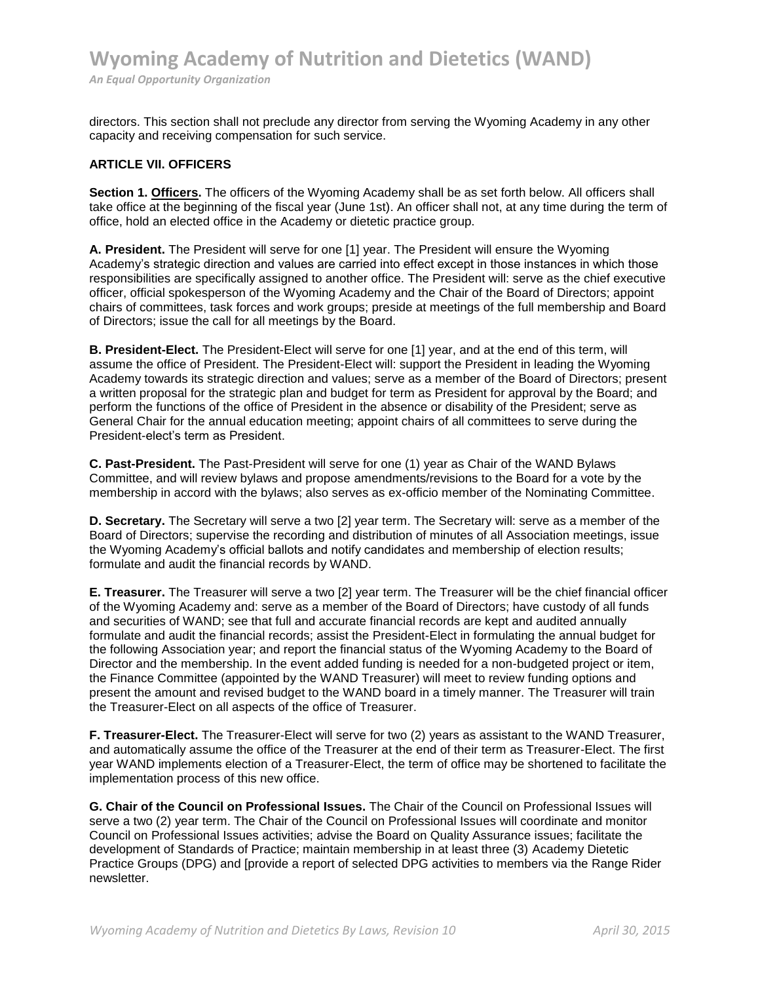directors. This section shall not preclude any director from serving the Wyoming Academy in any other capacity and receiving compensation for such service.

#### **ARTICLE VII. OFFICERS**

**Section 1. Officers.** The officers of the Wyoming Academy shall be as set forth below. All officers shall take office at the beginning of the fiscal year (June 1st). An officer shall not, at any time during the term of office, hold an elected office in the Academy or dietetic practice group.

**A. President.** The President will serve for one [1] year. The President will ensure the Wyoming Academy's strategic direction and values are carried into effect except in those instances in which those responsibilities are specifically assigned to another office. The President will: serve as the chief executive officer, official spokesperson of the Wyoming Academy and the Chair of the Board of Directors; appoint chairs of committees, task forces and work groups; preside at meetings of the full membership and Board of Directors; issue the call for all meetings by the Board.

**B. President-Elect.** The President-Elect will serve for one [1] year, and at the end of this term, will assume the office of President. The President-Elect will: support the President in leading the Wyoming Academy towards its strategic direction and values; serve as a member of the Board of Directors; present a written proposal for the strategic plan and budget for term as President for approval by the Board; and perform the functions of the office of President in the absence or disability of the President; serve as General Chair for the annual education meeting; appoint chairs of all committees to serve during the President-elect's term as President.

**C. Past-President.** The Past-President will serve for one (1) year as Chair of the WAND Bylaws Committee, and will review bylaws and propose amendments/revisions to the Board for a vote by the membership in accord with the bylaws; also serves as ex-officio member of the Nominating Committee.

**D. Secretary.** The Secretary will serve a two [2] year term. The Secretary will: serve as a member of the Board of Directors; supervise the recording and distribution of minutes of all Association meetings, issue the Wyoming Academy's official ballots and notify candidates and membership of election results; formulate and audit the financial records by WAND.

**E. Treasurer.** The Treasurer will serve a two [2] year term. The Treasurer will be the chief financial officer of the Wyoming Academy and: serve as a member of the Board of Directors; have custody of all funds and securities of WAND; see that full and accurate financial records are kept and audited annually formulate and audit the financial records; assist the President-Elect in formulating the annual budget for the following Association year; and report the financial status of the Wyoming Academy to the Board of Director and the membership. In the event added funding is needed for a non-budgeted project or item, the Finance Committee (appointed by the WAND Treasurer) will meet to review funding options and present the amount and revised budget to the WAND board in a timely manner. The Treasurer will train the Treasurer-Elect on all aspects of the office of Treasurer.

**F. Treasurer-Elect.** The Treasurer-Elect will serve for two (2) years as assistant to the WAND Treasurer, and automatically assume the office of the Treasurer at the end of their term as Treasurer-Elect. The first year WAND implements election of a Treasurer-Elect, the term of office may be shortened to facilitate the implementation process of this new office.

**G. Chair of the Council on Professional Issues.** The Chair of the Council on Professional Issues will serve a two (2) year term. The Chair of the Council on Professional Issues will coordinate and monitor Council on Professional Issues activities; advise the Board on Quality Assurance issues; facilitate the development of Standards of Practice; maintain membership in at least three (3) Academy Dietetic Practice Groups (DPG) and [provide a report of selected DPG activities to members via the Range Rider newsletter.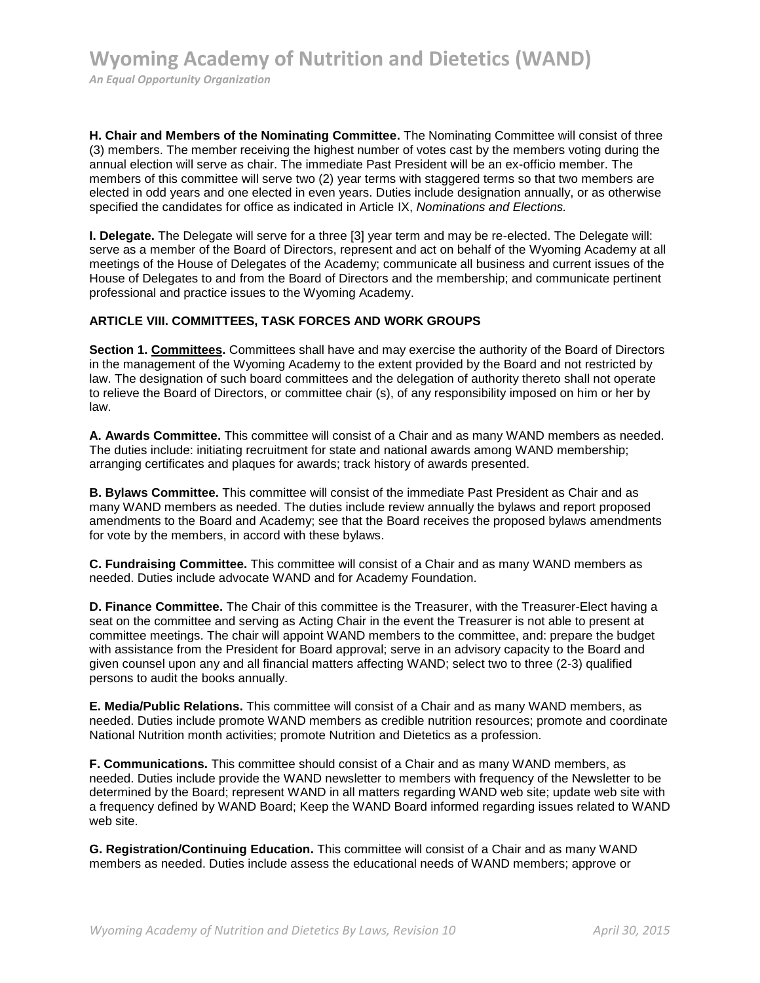**H. Chair and Members of the Nominating Committee.** The Nominating Committee will consist of three (3) members. The member receiving the highest number of votes cast by the members voting during the annual election will serve as chair. The immediate Past President will be an ex-officio member. The members of this committee will serve two (2) year terms with staggered terms so that two members are elected in odd years and one elected in even years. Duties include designation annually, or as otherwise specified the candidates for office as indicated in Article IX, *Nominations and Elections.*

**I. Delegate.** The Delegate will serve for a three [3] year term and may be re-elected. The Delegate will: serve as a member of the Board of Directors, represent and act on behalf of the Wyoming Academy at all meetings of the House of Delegates of the Academy; communicate all business and current issues of the House of Delegates to and from the Board of Directors and the membership; and communicate pertinent professional and practice issues to the Wyoming Academy.

## **ARTICLE VIII. COMMITTEES, TASK FORCES AND WORK GROUPS**

**Section 1. Committees.** Committees shall have and may exercise the authority of the Board of Directors in the management of the Wyoming Academy to the extent provided by the Board and not restricted by law. The designation of such board committees and the delegation of authority thereto shall not operate to relieve the Board of Directors, or committee chair (s), of any responsibility imposed on him or her by law.

**A. Awards Committee.** This committee will consist of a Chair and as many WAND members as needed. The duties include: initiating recruitment for state and national awards among WAND membership; arranging certificates and plaques for awards; track history of awards presented.

**B. Bylaws Committee.** This committee will consist of the immediate Past President as Chair and as many WAND members as needed. The duties include review annually the bylaws and report proposed amendments to the Board and Academy; see that the Board receives the proposed bylaws amendments for vote by the members, in accord with these bylaws.

**C. Fundraising Committee.** This committee will consist of a Chair and as many WAND members as needed. Duties include advocate WAND and for Academy Foundation.

**D. Finance Committee.** The Chair of this committee is the Treasurer, with the Treasurer-Elect having a seat on the committee and serving as Acting Chair in the event the Treasurer is not able to present at committee meetings. The chair will appoint WAND members to the committee, and: prepare the budget with assistance from the President for Board approval; serve in an advisory capacity to the Board and given counsel upon any and all financial matters affecting WAND; select two to three (2-3) qualified persons to audit the books annually.

**E. Media/Public Relations.** This committee will consist of a Chair and as many WAND members, as needed. Duties include promote WAND members as credible nutrition resources; promote and coordinate National Nutrition month activities; promote Nutrition and Dietetics as a profession.

**F. Communications.** This committee should consist of a Chair and as many WAND members, as needed. Duties include provide the WAND newsletter to members with frequency of the Newsletter to be determined by the Board; represent WAND in all matters regarding WAND web site; update web site with a frequency defined by WAND Board; Keep the WAND Board informed regarding issues related to WAND web site.

**G. Registration/Continuing Education.** This committee will consist of a Chair and as many WAND members as needed. Duties include assess the educational needs of WAND members; approve or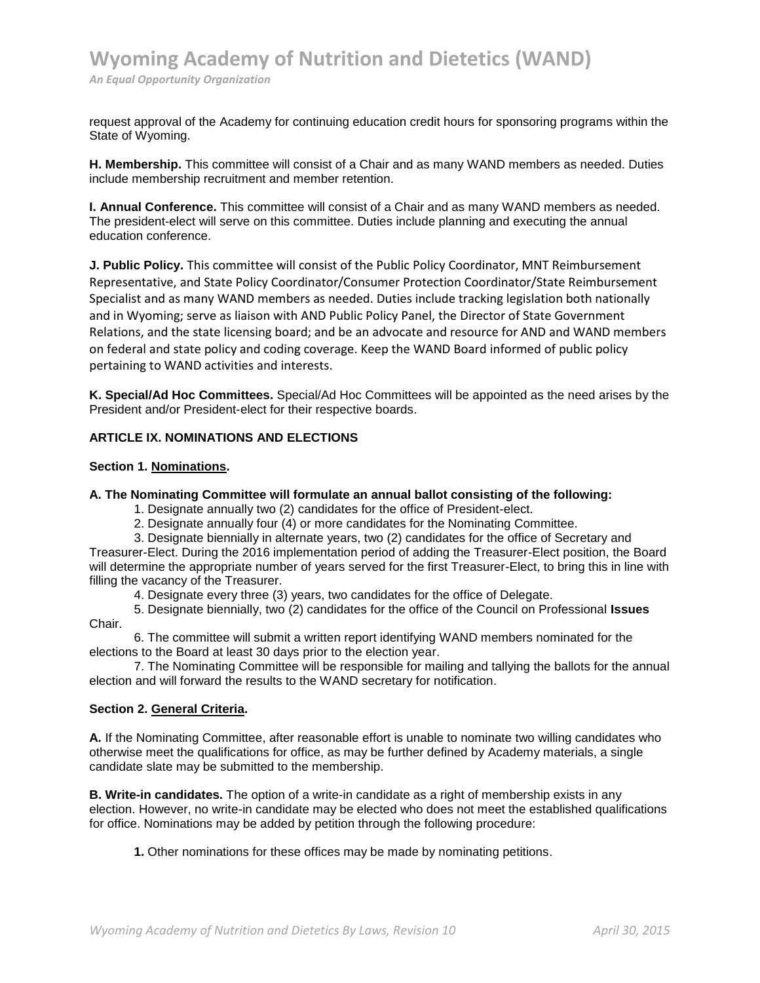request approval of the Academy for continuing education credit hours for sponsoring programs within the State of Wyoming.

**H. Membership.** This committee will consist of a Chair and as many WAND members as needed. Duties include membership recruitment and member retention.

**I. Annual Conference.** This committee will consist of a Chair and as many WAND members as needed. The president-elect will serve on this committee. Duties include planning and executing the annual education conference.

**J. Public Policy.** This committee will consist of the Public Policy Coordinator, MNT Reimbursement Representative, and State Policy Coordinator/Consumer Protection Coordinator/State Reimbursement Specialist and as many WAND members as needed. Duties include tracking legislation both nationally and in Wyoming; serve as liaison with AND Public Policy Panel, the Director of State Government Relations, and the state licensing board; and be an advocate and resource for AND and WAND members on federal and state policy and coding coverage. Keep the WAND Board informed of public policy pertaining to WAND activities and interests.

**K. Special/Ad Hoc Committees.** Special/Ad Hoc Committees will be appointed as the need arises by the President and/or President-elect for their respective boards.

## **ARTICLE IX. NOMINATIONS AND ELECTIONS**

#### **Section 1. Nominations.**

#### **A. The Nominating Committee will formulate an annual ballot consisting of the following:**

- 1. Designate annually two (2) candidates for the office of President-elect.
- 2. Designate annually four (4) or more candidates for the Nominating Committee.
- 3. Designate biennially in alternate years, two (2) candidates for the office of Secretary and

Treasurer-Elect. During the 2016 implementation period of adding the Treasurer-Elect position, the Board will determine the appropriate number of years served for the first Treasurer-Elect, to bring this in line with filling the vacancy of the Treasurer.

4. Designate every three (3) years, two candidates for the office of Delegate.

5. Designate biennially, two (2) candidates for the office of the Council on Professional **Issues**  Chair.

6. The committee will submit a written report identifying WAND members nominated for the elections to the Board at least 30 days prior to the election year.

7. The Nominating Committee will be responsible for mailing and tallying the ballots for the annual election and will forward the results to the WAND secretary for notification.

## **Section 2. General Criteria.**

**A.** If the Nominating Committee, after reasonable effort is unable to nominate two willing candidates who otherwise meet the qualifications for office, as may be further defined by Academy materials, a single candidate slate may be submitted to the membership.

**B. Write-in candidates.** The option of a write-in candidate as a right of membership exists in any election. However, no write-in candidate may be elected who does not meet the established qualifications for office. Nominations may be added by petition through the following procedure:

**1.** Other nominations for these offices may be made by nominating petitions.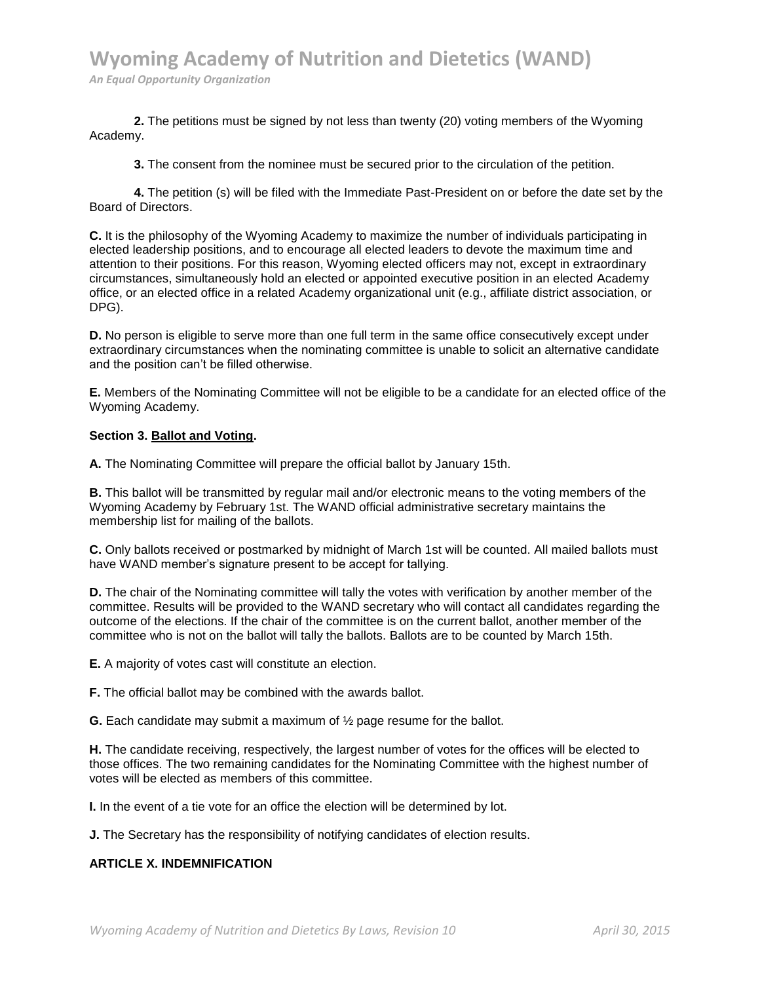**2.** The petitions must be signed by not less than twenty (20) voting members of the Wyoming Academy.

**3.** The consent from the nominee must be secured prior to the circulation of the petition.

**4.** The petition (s) will be filed with the Immediate Past-President on or before the date set by the Board of Directors.

**C.** It is the philosophy of the Wyoming Academy to maximize the number of individuals participating in elected leadership positions, and to encourage all elected leaders to devote the maximum time and attention to their positions. For this reason, Wyoming elected officers may not, except in extraordinary circumstances, simultaneously hold an elected or appointed executive position in an elected Academy office, or an elected office in a related Academy organizational unit (e.g., affiliate district association, or DPG).

**D.** No person is eligible to serve more than one full term in the same office consecutively except under extraordinary circumstances when the nominating committee is unable to solicit an alternative candidate and the position can't be filled otherwise.

**E.** Members of the Nominating Committee will not be eligible to be a candidate for an elected office of the Wyoming Academy.

#### **Section 3. Ballot and Voting.**

**A.** The Nominating Committee will prepare the official ballot by January 15th.

**B.** This ballot will be transmitted by regular mail and/or electronic means to the voting members of the Wyoming Academy by February 1st. The WAND official administrative secretary maintains the membership list for mailing of the ballots.

**C.** Only ballots received or postmarked by midnight of March 1st will be counted. All mailed ballots must have WAND member's signature present to be accept for tallying.

**D.** The chair of the Nominating committee will tally the votes with verification by another member of the committee. Results will be provided to the WAND secretary who will contact all candidates regarding the outcome of the elections. If the chair of the committee is on the current ballot, another member of the committee who is not on the ballot will tally the ballots. Ballots are to be counted by March 15th.

**E.** A majority of votes cast will constitute an election.

**F.** The official ballot may be combined with the awards ballot.

**G.** Each candidate may submit a maximum of ½ page resume for the ballot.

**H.** The candidate receiving, respectively, the largest number of votes for the offices will be elected to those offices. The two remaining candidates for the Nominating Committee with the highest number of votes will be elected as members of this committee.

**I.** In the event of a tie vote for an office the election will be determined by lot.

**J.** The Secretary has the responsibility of notifying candidates of election results.

## **ARTICLE X. INDEMNIFICATION**